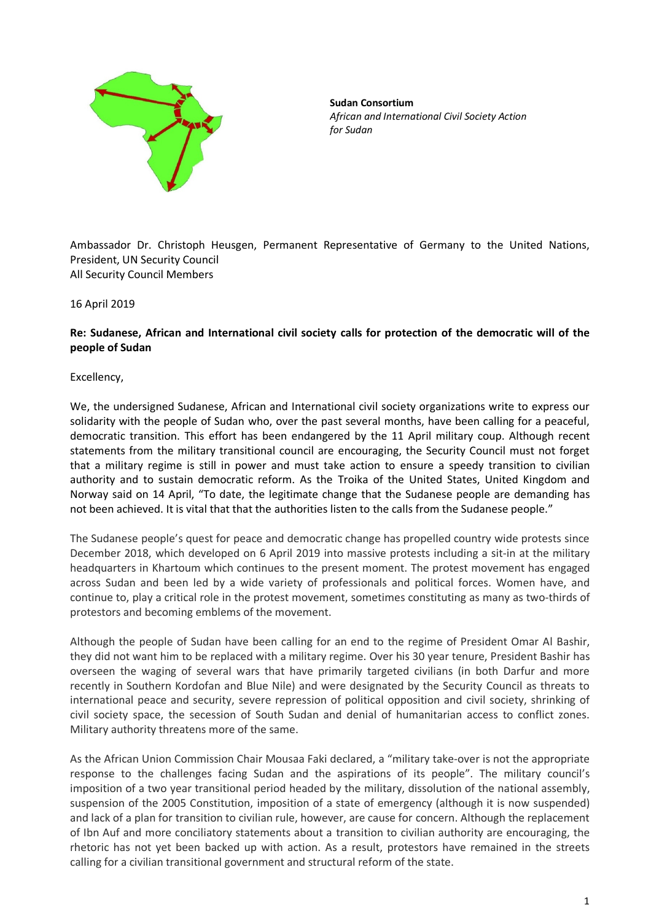

**Sudan Consortium** *African and International Civil Society Action for Sudan*

Ambassador Dr. Christoph Heusgen, Permanent Representative of Germany to the United Nations, President, UN Security Council All Security Council Members

16 April 2019

## **Re: Sudanese, African and International civil society calls for protection of the democratic will of the people of Sudan**

Excellency,

We, the undersigned Sudanese, African and International civil society organizations write to express our solidarity with the people of Sudan who, over the past several months, have been calling for a peaceful, democratic transition. This effort has been endangered by the 11 April military coup. Although recent statements from the military transitional council are encouraging, the Security Council must not forget that a military regime is still in power and must take action to ensure a speedy transition to civilian authority and to sustain democratic reform. As the Troika of the United States, United Kingdom and Norway said on 14 April, "To date, the legitimate change that the Sudanese people are demanding has not been achieved. It is vital that that the authorities listen to the calls from the Sudanese people."

The Sudanese people's quest for peace and democratic change has propelled country wide protests since December 2018, which developed on 6 April 2019 into massive protests including a sit-in at the military headquarters in Khartoum which continues to the present moment. The protest movement has engaged across Sudan and been led by a wide variety of professionals and political forces. Women have, and continue to, play a critical role in the protest movement, sometimes constituting as many as two-thirds of protestors and becoming emblems of the movement.

Although the people of Sudan have been calling for an end to the regime of President Omar Al Bashir, they did not want him to be replaced with a military regime. Over his 30 year tenure, President Bashir has overseen the waging of several wars that have primarily targeted civilians (in both Darfur and more recently in Southern Kordofan and Blue Nile) and were designated by the Security Council as threats to international peace and security, severe repression of political opposition and civil society, shrinking of civil society space, the secession of South Sudan and denial of humanitarian access to conflict zones. Military authority threatens more of the same.

As the African Union Commission Chair Mousaa Faki declared, a "military take-over is not the appropriate response to the challenges facing Sudan and the aspirations of its people". The military council's imposition of a two year transitional period headed by the military, dissolution of the national assembly, suspension of the 2005 Constitution, imposition of a state of emergency (although it is now suspended) and lack of a plan for transition to civilian rule, however, are cause for concern. Although the replacement of Ibn Auf and more conciliatory statements about a transition to civilian authority are encouraging, the rhetoric has not yet been backed up with action. As a result, protestors have remained in the streets calling for a civilian transitional government and structural reform of the state.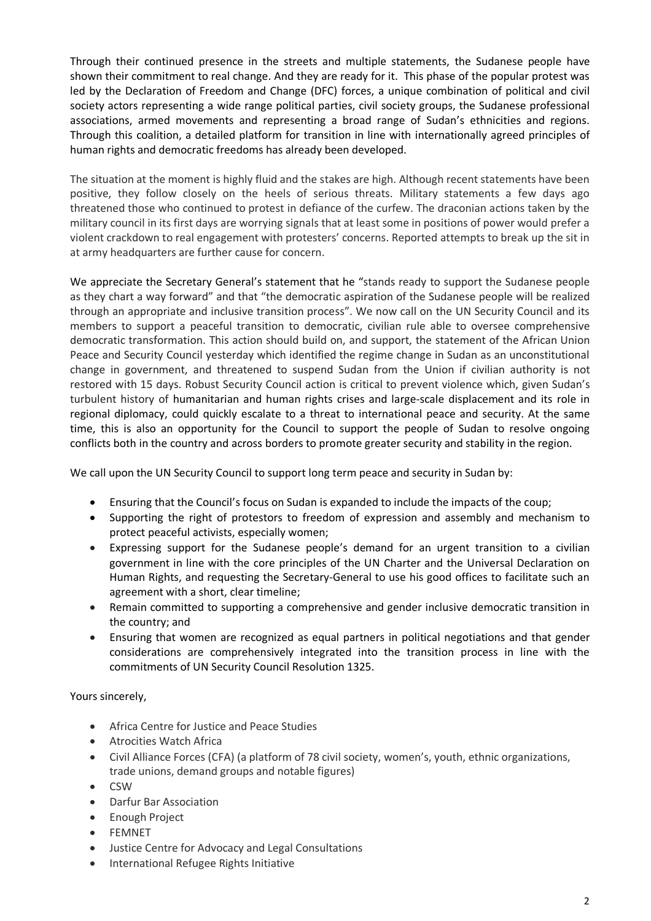Through their continued presence in the streets and multiple statements, the Sudanese people have shown their commitment to real change. And they are ready for it. This phase of the popular protest was led by the Declaration of Freedom and Change (DFC) forces, a unique combination of political and civil society actors representing a wide range political parties, civil society groups, the Sudanese professional associations, armed movements and representing a broad range of Sudan's ethnicities and regions. Through this coalition, a detailed platform for transition in line with internationally agreed principles of human rights and democratic freedoms has already been developed.

The situation at the moment is highly fluid and the stakes are high. Although recent statements have been positive, they follow closely on the heels of serious threats. Military statements a few days ago threatened those who continued to protest in defiance of the curfew. The draconian actions taken by the military council in its first days are worrying signals that at least some in positions of power would prefer a violent crackdown to real engagement with protesters' concerns. Reported attempts to break up the sit in at army headquarters are further cause for concern.

We appreciate the Secretary General's statement that he "stands ready to support the Sudanese people as they chart a way forward" and that "the democratic aspiration of the Sudanese people will be realized through an appropriate and inclusive transition process". We now call on the UN Security Council and its members to support a peaceful transition to democratic, civilian rule able to oversee comprehensive democratic transformation. This action should build on, and support, the statement of the African Union Peace and Security Council yesterday which identified the regime change in Sudan as an unconstitutional change in government, and threatened to suspend Sudan from the Union if civilian authority is not restored with 15 days. Robust Security Council action is critical to prevent violence which, given Sudan's turbulent history of humanitarian and human rights crises and large-scale displacement and its role in regional diplomacy, could quickly escalate to a threat to international peace and security. At the same time, this is also an opportunity for the Council to support the people of Sudan to resolve ongoing conflicts both in the country and across borders to promote greater security and stability in the region.

We call upon the UN Security Council to support long term peace and security in Sudan by:

- Ensuring that the Council's focus on Sudan is expanded to include the impacts of the coup;
- Supporting the right of protestors to freedom of expression and assembly and mechanism to protect peaceful activists, especially women;
- Expressing support for the Sudanese people's demand for an urgent transition to a civilian government in line with the core principles of the UN Charter and the Universal Declaration on Human Rights, and requesting the Secretary-General to use his good offices to facilitate such an agreement with a short, clear timeline;
- Remain committed to supporting a comprehensive and gender inclusive democratic transition in the country; and
- Ensuring that women are recognized as equal partners in political negotiations and that gender considerations are comprehensively integrated into the transition process in line with the commitments of UN Security Council Resolution 1325.

Yours sincerely,

- Africa Centre for Justice and Peace Studies
- Atrocities Watch Africa
- Civil Alliance Forces (CFA) (a platform of 78 civil society, women's, youth, ethnic organizations, trade unions, demand groups and notable figures)
- CSW
- Darfur Bar Association
- Enough Project
- **FEMNET**
- Justice Centre for Advocacy and Legal Consultations
- International Refugee Rights Initiative